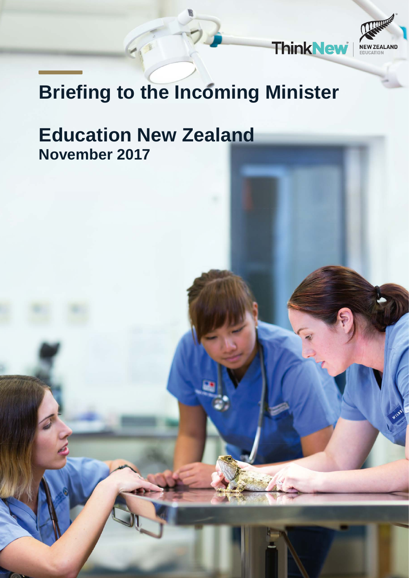

# **Briefing to the Incoming Minister**

# **Education New Zealand November 2017**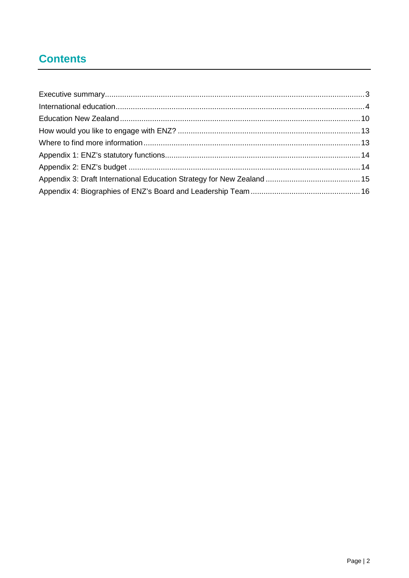# **Contents**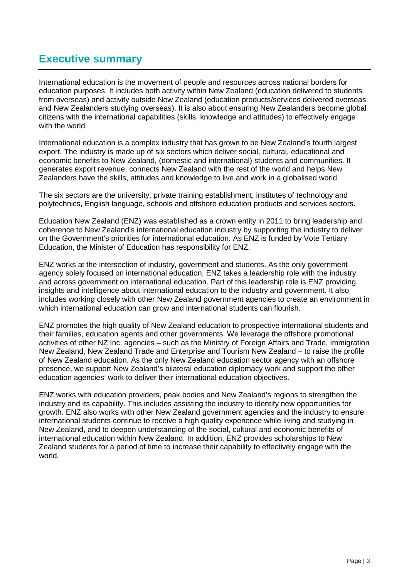## <span id="page-2-0"></span>**Executive summary**

International education is the movement of people and resources across national borders for education purposes. It includes both activity within New Zealand (education delivered to students from overseas) and activity outside New Zealand (education products/services delivered overseas and New Zealanders studying overseas). It is also about ensuring New Zealanders become global citizens with the international capabilities (skills, knowledge and attitudes) to effectively engage with the world.

International education is a complex industry that has grown to be New Zealand's fourth largest export. The industry is made up of six sectors which deliver social, cultural, educational and economic benefits to New Zealand, (domestic and international) students and communities. It generates export revenue, connects New Zealand with the rest of the world and helps New Zealanders have the skills, attitudes and knowledge to live and work in a globalised world.

The six sectors are the university, private training establishment, institutes of technology and polytechnics, English language, schools and offshore education products and services sectors.

Education New Zealand (ENZ) was established as a crown entity in 2011 to bring leadership and coherence to New Zealand's international education industry by supporting the industry to deliver on the Government's priorities for international education. As ENZ is funded by Vote Tertiary Education, the Minister of Education has responsibility for ENZ.

ENZ works at the intersection of industry, government and students. As the only government agency solely focused on international education, ENZ takes a leadership role with the industry and across government on international education. Part of this leadership role is ENZ providing insights and intelligence about international education to the industry and government. It also includes working closely with other New Zealand government agencies to create an environment in which international education can grow and international students can flourish.

ENZ promotes the high quality of New Zealand education to prospective international students and their families, education agents and other governments. We leverage the offshore promotional activities of other NZ Inc. agencies – such as the Ministry of Foreign Affairs and Trade, Immigration New Zealand, New Zealand Trade and Enterprise and Tourism New Zealand – to raise the profile of New Zealand education. As the only New Zealand education sector agency with an offshore presence, we support New Zealand's bilateral education diplomacy work and support the other education agencies' work to deliver their international education objectives.

ENZ works with education providers, peak bodies and New Zealand's regions to strengthen the industry and its capability. This includes assisting the industry to identify new opportunities for growth. ENZ also works with other New Zealand government agencies and the industry to ensure international students continue to receive a high quality experience while living and studying in New Zealand, and to deepen understanding of the social, cultural and economic benefits of international education within New Zealand. In addition, ENZ provides scholarships to New Zealand students for a period of time to increase their capability to effectively engage with the world.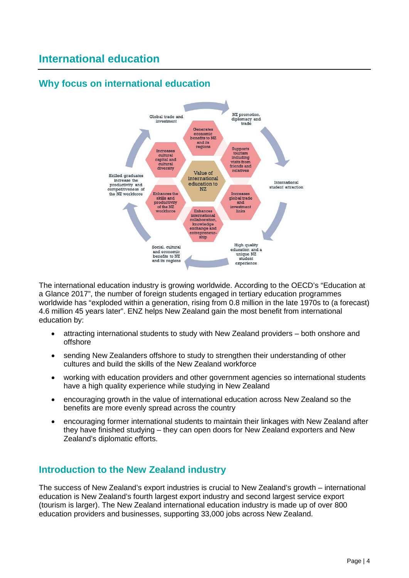# <span id="page-3-0"></span>**International education**

## **Why focus on international education**



The international education industry is growing worldwide. According to the OECD's "Education at a Glance 2017", the number of foreign students engaged in tertiary education programmes worldwide has "exploded within a generation, rising from 0.8 million in the late 1970s to (a forecast) 4.6 million 45 years later". ENZ helps New Zealand gain the most benefit from international education by:

- attracting international students to study with New Zealand providers both onshore and offshore
- sending New Zealanders offshore to study to strengthen their understanding of other cultures and build the skills of the New Zealand workforce
- working with education providers and other government agencies so international students have a high quality experience while studying in New Zealand
- encouraging growth in the value of international education across New Zealand so the benefits are more evenly spread across the country
- encouraging former international students to maintain their linkages with New Zealand after they have finished studying – they can open doors for New Zealand exporters and New Zealand's diplomatic efforts.

## **Introduction to the New Zealand industry**

The success of New Zealand's export industries is crucial to New Zealand's growth – international education is New Zealand's fourth largest export industry and second largest service export (tourism is larger). The New Zealand international education industry is made up of over 800 education providers and businesses, supporting 33,000 jobs across New Zealand.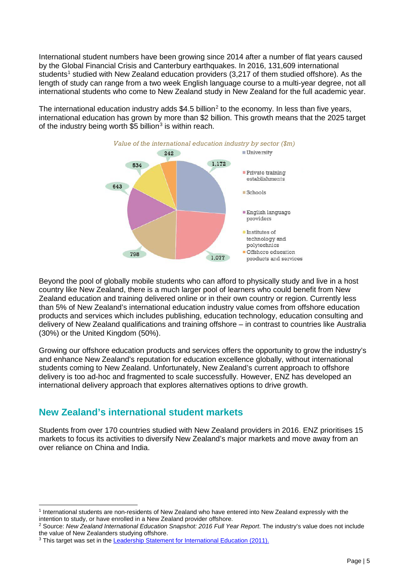International student numbers have been growing since 2014 after a number of flat years caused by the Global Financial Crisis and Canterbury earthquakes. In 2016, 131,609 international students<sup>[1](#page-4-0)</sup> studied with New Zealand education providers (3,217 of them studied offshore). As the length of study can range from a two week English language course to a multi-year degree, not all international students who come to New Zealand study in New Zealand for the full academic year.

The international education industry adds  $$4.5$  billion<sup>[2](#page-4-1)</sup> to the economy. In less than five years, international education has grown by more than \$2 billion. This growth means that the 2025 target of the industry being worth  $$5$  billion<sup>[3](#page-4-2)</sup> is within reach.



Beyond the pool of globally mobile students who can afford to physically study and live in a host country like New Zealand, there is a much larger pool of learners who could benefit from New Zealand education and training delivered online or in their own country or region. Currently less than 5% of New Zealand's international education industry value comes from offshore education products and services which includes publishing, education technology, education consulting and delivery of New Zealand qualifications and training offshore – in contrast to countries like Australia (30%) or the United Kingdom (50%).

Growing our offshore education products and services offers the opportunity to grow the industry's and enhance New Zealand's reputation for education excellence globally, without international students coming to New Zealand. Unfortunately, New Zealand's current approach to offshore delivery is too ad-hoc and fragmented to scale successfully. However, ENZ has developed an international delivery approach that explores alternatives options to drive growth.

## **New Zealand's international student markets**

Students from over 170 countries studied with New Zealand providers in 2016. ENZ prioritises 15 markets to focus its activities to diversify New Zealand's major markets and move away from an over reliance on China and India.

<span id="page-4-0"></span> <sup>1</sup> International students are non-residents of New Zealand who have entered into New Zealand expressly with the intention to study, or have enrolled in a New Zealand provider offshore.

<span id="page-4-1"></span><sup>2</sup> Source: *New Zealand International Education Snapshot: 2016 Full Year Report*. The industry's value does not include the value of New Zealanders studying offshore.

<span id="page-4-2"></span><sup>&</sup>lt;sup>3</sup> This target was set in the **Leadership Statement for International Education (2011).**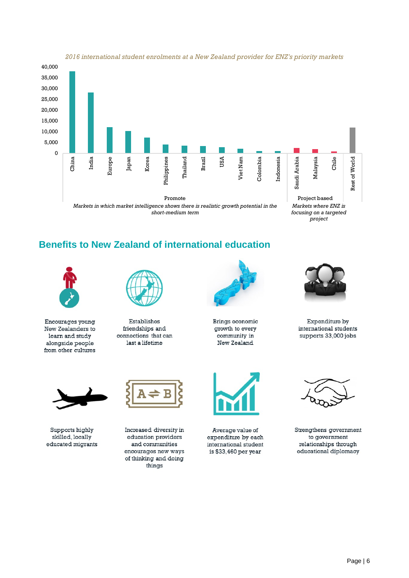

#### *2016 international student enrolments at a New Zealand provider for ENZ's priority markets*

## **Benefits to New Zealand of international education**



Encourages young New Zealanders to learn and study alongside people from other cultures



Establishes friendships and connections that can last a lifetime



Brings economic growth to every community in New Zealand



Expenditure by international students supports 33,000 jobs



Supports highly skilled, locally educated migrants

Increased diversity in education providers and communities encourages new ways of thinking and doing things



Average value of expenditure by each international student is \$33,460 per year



Strengthens government to government relationships through educational diplomacy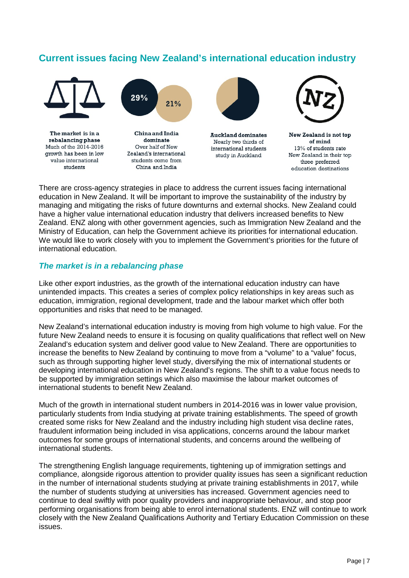## **Current issues facing New Zealand's international education industry**



There are cross-agency strategies in place to address the current issues facing international education in New Zealand. It will be important to improve the sustainability of the industry by managing and mitigating the risks of future downturns and external shocks. New Zealand could have a higher value international education industry that delivers increased benefits to New Zealand. ENZ along with other government agencies, such as Immigration New Zealand and the Ministry of Education, can help the Government achieve its priorities for international education. We would like to work closely with you to implement the Government's priorities for the future of international education.

#### *The market is in a rebalancing phase*

Like other export industries, as the growth of the international education industry can have unintended impacts. This creates a series of complex policy relationships in key areas such as education, immigration, regional development, trade and the labour market which offer both opportunities and risks that need to be managed.

New Zealand's international education industry is moving from high volume to high value. For the future New Zealand needs to ensure it is focusing on quality qualifications that reflect well on New Zealand's education system and deliver good value to New Zealand. There are opportunities to increase the benefits to New Zealand by continuing to move from a "volume" to a "value" focus, such as through supporting higher level study, diversifying the mix of international students or developing international education in New Zealand's regions. The shift to a value focus needs to be supported by immigration settings which also maximise the labour market outcomes of international students to benefit New Zealand.

Much of the growth in international student numbers in 2014-2016 was in lower value provision, particularly students from India studying at private training establishments. The speed of growth created some risks for New Zealand and the industry including high student visa decline rates, fraudulent information being included in visa applications, concerns around the labour market outcomes for some groups of international students, and concerns around the wellbeing of international students.

The strengthening English language requirements, tightening up of immigration settings and compliance, alongside rigorous attention to provider quality issues has seen a significant reduction in the number of international students studying at private training establishments in 2017, while the number of students studying at universities has increased. Government agencies need to continue to deal swiftly with poor quality providers and inappropriate behaviour, and stop poor performing organisations from being able to enrol international students. ENZ will continue to work closely with the New Zealand Qualifications Authority and Tertiary Education Commission on these issues.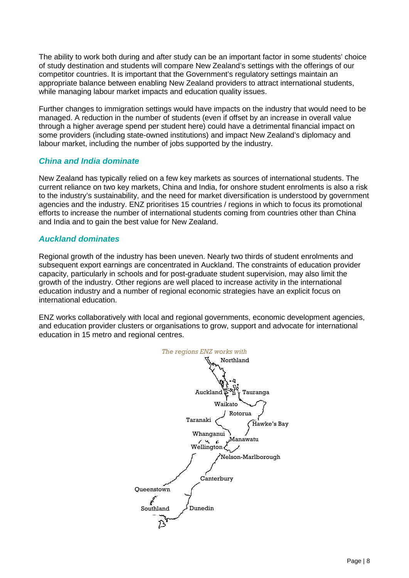The ability to work both during and after study can be an important factor in some students' choice of study destination and students will compare New Zealand's settings with the offerings of our competitor countries. It is important that the Government's regulatory settings maintain an appropriate balance between enabling New Zealand providers to attract international students, while managing labour market impacts and education quality issues.

Further changes to immigration settings would have impacts on the industry that would need to be managed. A reduction in the number of students (even if offset by an increase in overall value through a higher average spend per student here) could have a detrimental financial impact on some providers (including state-owned institutions) and impact New Zealand's diplomacy and labour market, including the number of jobs supported by the industry.

#### *China and India dominate*

New Zealand has typically relied on a few key markets as sources of international students. The current reliance on two key markets, China and India, for onshore student enrolments is also a risk to the industry's sustainability, and the need for market diversification is understood by government agencies and the industry. ENZ prioritises 15 countries / regions in which to focus its promotional efforts to increase the number of international students coming from countries other than China and India and to gain the best value for New Zealand.

#### *Auckland dominates*

Regional growth of the industry has been uneven. Nearly two thirds of student enrolments and subsequent export earnings are concentrated in Auckland. The constraints of education provider capacity, particularly in schools and for post-graduate student supervision, may also limit the growth of the industry. Other regions are well placed to increase activity in the international education industry and a number of regional economic strategies have an explicit focus on international education.

ENZ works collaboratively with local and regional governments, economic development agencies, and education provider clusters or organisations to grow, support and advocate for international education in 15 metro and regional centres.

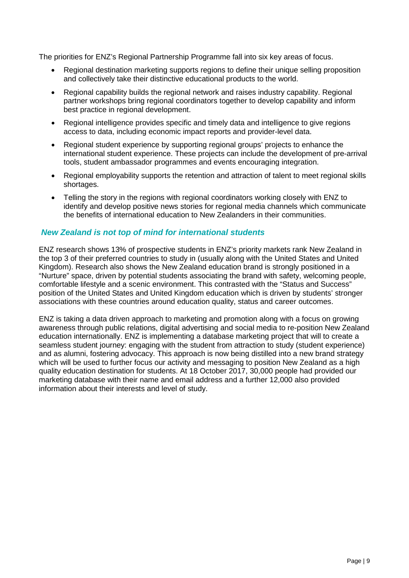The priorities for ENZ's Regional Partnership Programme fall into six key areas of focus.

- Regional destination marketing supports regions to define their unique selling proposition and collectively take their distinctive educational products to the world.
- Regional capability builds the regional network and raises industry capability. Regional partner workshops bring regional coordinators together to develop capability and inform best practice in regional development.
- Regional intelligence provides specific and timely data and intelligence to give regions access to data, including economic impact reports and provider-level data.
- Regional student experience by supporting regional groups' projects to enhance the international student experience. These projects can include the development of pre-arrival tools, student ambassador programmes and events encouraging integration.
- Regional employability supports the retention and attraction of talent to meet regional skills shortages.
- Telling the story in the regions with regional coordinators working closely with ENZ to identify and develop positive news stories for regional media channels which communicate the benefits of international education to New Zealanders in their communities.

#### *New Zealand is not top of mind for international students*

ENZ research shows 13% of prospective students in ENZ's priority markets rank New Zealand in the top 3 of their preferred countries to study in (usually along with the United States and United Kingdom). Research also shows the New Zealand education brand is strongly positioned in a "Nurture" space, driven by potential students associating the brand with safety, welcoming people, comfortable lifestyle and a scenic environment. This contrasted with the "Status and Success" position of the United States and United Kingdom education which is driven by students' stronger associations with these countries around education quality, status and career outcomes.

ENZ is taking a data driven approach to marketing and promotion along with a focus on growing awareness through public relations, digital advertising and social media to re-position New Zealand education internationally. ENZ is implementing a database marketing project that will to create a seamless student journey: engaging with the student from attraction to study (student experience) and as alumni, fostering advocacy. This approach is now being distilled into a new brand strategy which will be used to further focus our activity and messaging to position New Zealand as a high quality education destination for students. At 18 October 2017, 30,000 people had provided our marketing database with their name and email address and a further 12,000 also provided information about their interests and level of study.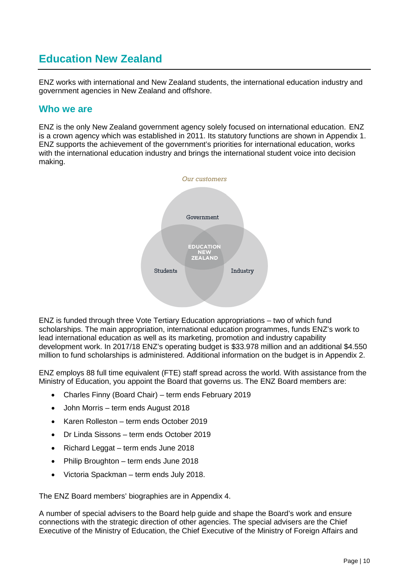# <span id="page-9-0"></span>**Education New Zealand**

ENZ works with international and New Zealand students, the international education industry and government agencies in New Zealand and offshore.

### **Who we are**

ENZ is the only New Zealand government agency solely focused on international education. ENZ is a crown agency which was established in 2011. Its statutory functions are shown in Appendix 1. ENZ supports the achievement of the government's priorities for international education, works with the international education industry and brings the international student voice into decision making.



ENZ is funded through three Vote Tertiary Education appropriations – two of which fund scholarships. The main appropriation, international education programmes, funds ENZ's work to lead international education as well as its marketing, promotion and industry capability development work. In 2017/18 ENZ's operating budget is \$33.978 million and an additional \$4.550 million to fund scholarships is administered. Additional information on the budget is in Appendix 2.

ENZ employs 88 full time equivalent (FTE) staff spread across the world. With assistance from the Ministry of Education, you appoint the Board that governs us. The ENZ Board members are:

- Charles Finny (Board Chair) term ends February 2019
- John Morris term ends August 2018
- Karen Rolleston term ends October 2019
- Dr Linda Sissons term ends October 2019
- Richard Leggat term ends June 2018
- Philip Broughton term ends June 2018
- Victoria Spackman term ends July 2018.

The ENZ Board members' biographies are in Appendix 4.

A number of special advisers to the Board help guide and shape the Board's work and ensure connections with the strategic direction of other agencies. The special advisers are the Chief Executive of the Ministry of Education, the Chief Executive of the Ministry of Foreign Affairs and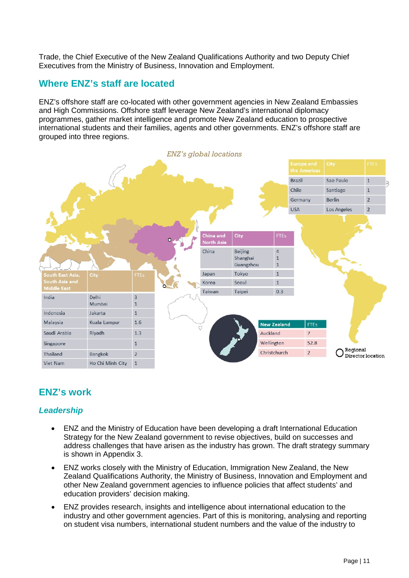Trade, the Chief Executive of the New Zealand Qualifications Authority and two Deputy Chief Executives from the Ministry of Business, Innovation and Employment.

## **Where ENZ's staff are located**

ENZ's offshore staff are co-located with other government agencies in New Zealand Embassies and High Commissions. Offshore staff leverage New Zealand's international diplomacy programmes, gather market intelligence and promote New Zealand education to prospective international students and their families, agents and other governments. ENZ's offshore staff are grouped into three regions.



## **ENZ's work**

#### *Leadership*

- ENZ and the Ministry of Education have been developing a draft International Education Strategy for the New Zealand government to revise objectives, build on successes and address challenges that have arisen as the industry has grown. The draft strategy summary is shown in Appendix 3.
- ENZ works closely with the Ministry of Education, Immigration New Zealand, the New Zealand Qualifications Authority, the Ministry of Business, Innovation and Employment and other New Zealand government agencies to influence policies that affect students' and education providers' decision making.
- ENZ provides research, insights and intelligence about international education to the industry and other government agencies. Part of this is monitoring, analysing and reporting on student visa numbers, international student numbers and the value of the industry to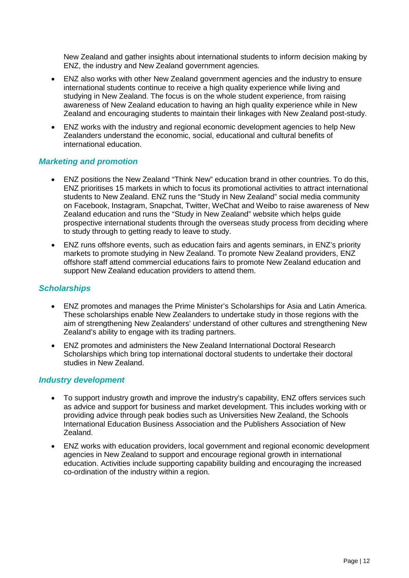New Zealand and gather insights about international students to inform decision making by ENZ, the industry and New Zealand government agencies.

- ENZ also works with other New Zealand government agencies and the industry to ensure international students continue to receive a high quality experience while living and studying in New Zealand. The focus is on the whole student experience, from raising awareness of New Zealand education to having an high quality experience while in New Zealand and encouraging students to maintain their linkages with New Zealand post-study.
- ENZ works with the industry and regional economic development agencies to help New Zealanders understand the economic, social, educational and cultural benefits of international education.

#### *Marketing and promotion*

- ENZ positions the New Zealand "Think New" education brand in other countries. To do this, ENZ prioritises 15 markets in which to focus its promotional activities to attract international students to New Zealand. ENZ runs the "Study in New Zealand" social media community on Facebook, Instagram, Snapchat, Twitter, WeChat and Weibo to raise awareness of New Zealand education and runs the "Study in New Zealand" website which helps guide prospective international students through the overseas study process from deciding where to study through to getting ready to leave to study.
- ENZ runs offshore events, such as education fairs and agents seminars, in ENZ's priority markets to promote studying in New Zealand. To promote New Zealand providers, ENZ offshore staff attend commercial educations fairs to promote New Zealand education and support New Zealand education providers to attend them.

#### *Scholarships*

- ENZ promotes and manages the Prime Minister's Scholarships for Asia and Latin America. These scholarships enable New Zealanders to undertake study in those regions with the aim of strengthening New Zealanders' understand of other cultures and strengthening New Zealand's ability to engage with its trading partners.
- ENZ promotes and administers the New Zealand International Doctoral Research Scholarships which bring top international doctoral students to undertake their doctoral studies in New Zealand.

#### *Industry development*

- To support industry growth and improve the industry's capability, ENZ offers services such as advice and support for business and market development. This includes working with or providing advice through peak bodies such as Universities New Zealand, the Schools International Education Business Association and the Publishers Association of New Zealand.
- ENZ works with education providers, local government and regional economic development agencies in New Zealand to support and encourage regional growth in international education. Activities include supporting capability building and encouraging the increased co-ordination of the industry within a region.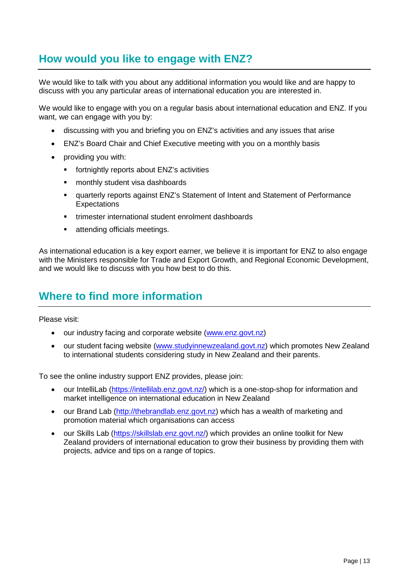# <span id="page-12-0"></span>**How would you like to engage with ENZ?**

We would like to talk with you about any additional information you would like and are happy to discuss with you any particular areas of international education you are interested in.

We would like to engage with you on a regular basis about international education and ENZ. If you want, we can engage with you by:

- discussing with you and briefing you on ENZ's activities and any issues that arise
- ENZ's Board Chair and Chief Executive meeting with you on a monthly basis
- providing you with:
	- **Fall fortnightly reports about ENZ's activities**
	- monthly student visa dashboards
	- quarterly reports against ENZ's Statement of Intent and Statement of Performance **Expectations**
	- trimester international student enrolment dashboards
	- **Example 2** attending officials meetings.

As international education is a key export earner, we believe it is important for ENZ to also engage with the Ministers responsible for Trade and Export Growth, and Regional Economic Development, and we would like to discuss with you how best to do this.

## <span id="page-12-1"></span>**Where to find more information**

Please visit:

- our industry facing and corporate website (www.enz.govt.nz)
- our student facing website (www.studyinnewzealand.govt.nz) which promotes New Zealand to international students considering study in New Zealand and their parents.

To see the online industry support ENZ provides, please join:

- our IntelliLab [\(https://intellilab.enz.govt.nz/\)](https://intellilab.enz.govt.nz/) which is a one-stop-shop for information and market intelligence on international education in New Zealand
- our Brand Lab [\(http://thebrandlab.enz.govt.nz\)](http://thebrandlab.enz.govt.nz/) which has a wealth of marketing and promotion material which organisations can access
- our Skills Lab [\(https://skillslab.enz.govt.nz/\)](https://skillslab.enz.govt.nz/) which provides an online toolkit for New Zealand providers of international education to grow their business by providing them with projects, advice and tips on a range of topics.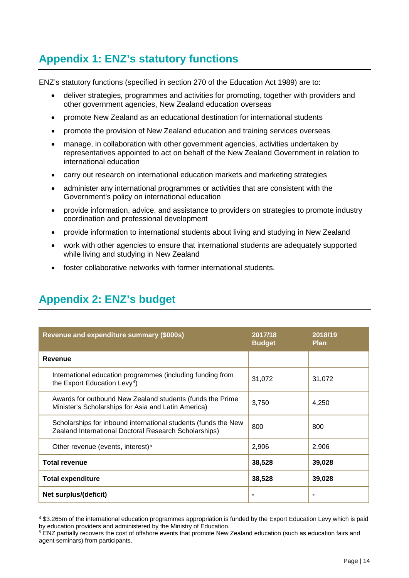# <span id="page-13-0"></span>**Appendix 1: ENZ's statutory functions**

ENZ's statutory functions (specified in section 270 of the Education Act 1989) are to:

- deliver strategies, programmes and activities for promoting, together with providers and other government agencies, New Zealand education overseas
- promote New Zealand as an educational destination for international students
- promote the provision of New Zealand education and training services overseas
- manage, in collaboration with other government agencies, activities undertaken by representatives appointed to act on behalf of the New Zealand Government in relation to international education
- carry out research on international education markets and marketing strategies
- administer any international programmes or activities that are consistent with the Government's policy on international education
- provide information, advice, and assistance to providers on strategies to promote industry coordination and professional development
- provide information to international students about living and studying in New Zealand
- work with other agencies to ensure that international students are adequately supported while living and studying in New Zealand
- foster collaborative networks with former international students.

| Revenue and expenditure summary (\$000s)                                                                                | 2017/18<br><b>Budget</b> | 2018/19<br><b>Plan</b> |
|-------------------------------------------------------------------------------------------------------------------------|--------------------------|------------------------|
| Revenue                                                                                                                 |                          |                        |
| International education programmes (including funding from<br>the Export Education Levy <sup>4</sup> )                  | 31,072                   | 31,072                 |
| Awards for outbound New Zealand students (funds the Prime<br>Minister's Scholarships for Asia and Latin America)        | 3,750                    | 4,250                  |
| Scholarships for inbound international students (funds the New<br>Zealand International Doctoral Research Scholarships) | 800                      | 800                    |
| Other revenue (events, interest) <sup>5</sup>                                                                           | 2,906                    | 2,906                  |
| <b>Total revenue</b>                                                                                                    | 38,528                   | 39,028                 |
| <b>Total expenditure</b>                                                                                                | 38,528                   | 39,028                 |
| Net surplus/(deficit)                                                                                                   | $\blacksquare$           |                        |

# <span id="page-13-1"></span>**Appendix 2: ENZ's budget**

<span id="page-13-2"></span> <sup>4</sup> \$3.265m of the international education programmes appropriation is funded by the Export Education Levy which is paid by education providers and administered by the Ministry of Education.

<span id="page-13-3"></span><sup>&</sup>lt;sup>5</sup> ENZ partially recovers the cost of offshore events that promote New Zealand education (such as education fairs and agent seminars) from participants.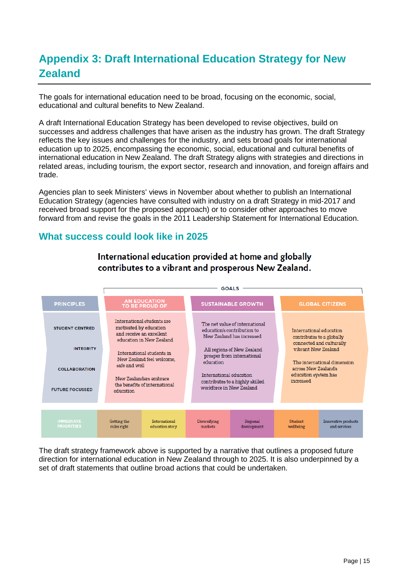# <span id="page-14-0"></span>**Appendix 3: Draft International Education Strategy for New Zealand**

The goals for international education need to be broad, focusing on the economic, social, educational and cultural benefits to New Zealand.

A draft International Education Strategy has been developed to revise objectives, build on successes and address challenges that have arisen as the industry has grown. The draft Strategy reflects the key issues and challenges for the industry, and sets broad goals for international education up to 2025, encompassing the economic, social, educational and cultural benefits of international education in New Zealand. The draft Strategy aligns with strategies and directions in related areas, including tourism, the export sector, research and innovation, and foreign affairs and trade.

Agencies plan to seek Ministers' views in November about whether to publish an International Education Strategy (agencies have consulted with industry on a draft Strategy in mid-2017 and received broad support for the proposed approach) or to consider other approaches to move forward from and revise the goals in the 2011 Leadership Statement for International Education.

## **What success could look like in 2025**



International education provided at home and globally contributes to a vibrant and prosperous New Zealand.

The draft strategy framework above is supported by a narrative that outlines a proposed future direction for international education in New Zealand through to 2025. It is also underpinned by a set of draft statements that outline broad actions that could be undertaken.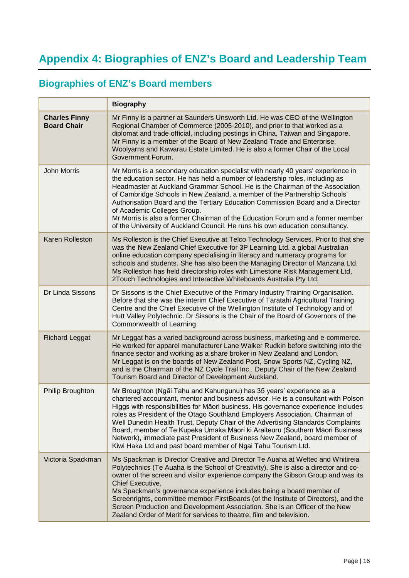# <span id="page-15-0"></span>**Biographies of ENZ's Board members**

|                                            | <b>Biography</b>                                                                                                                                                                                                                                                                                                                                                                                                                                                                                                                                                                                                                                   |
|--------------------------------------------|----------------------------------------------------------------------------------------------------------------------------------------------------------------------------------------------------------------------------------------------------------------------------------------------------------------------------------------------------------------------------------------------------------------------------------------------------------------------------------------------------------------------------------------------------------------------------------------------------------------------------------------------------|
| <b>Charles Finny</b><br><b>Board Chair</b> | Mr Finny is a partner at Saunders Unsworth Ltd. He was CEO of the Wellington<br>Regional Chamber of Commerce (2005-2010), and prior to that worked as a<br>diplomat and trade official, including postings in China, Taiwan and Singapore.<br>Mr Finny is a member of the Board of New Zealand Trade and Enterprise,<br>Woolyarns and Kawarau Estate Limited. He is also a former Chair of the Local<br>Government Forum.                                                                                                                                                                                                                          |
| <b>John Morris</b>                         | Mr Morris is a secondary education specialist with nearly 40 years' experience in<br>the education sector. He has held a number of leadership roles, including as<br>Headmaster at Auckland Grammar School. He is the Chairman of the Association<br>of Cambridge Schools in New Zealand, a member of the Partnership Schools'<br>Authorisation Board and the Tertiary Education Commission Board and a Director<br>of Academic Colleges Group.<br>Mr Morris is also a former Chairman of the Education Forum and a former member<br>of the University of Auckland Council. He runs his own education consultancy.                                 |
| <b>Karen Rolleston</b>                     | Ms Rolleston is the Chief Executive at Telco Technology Services. Prior to that she<br>was the New Zealand Chief Executive for 3P Learning Ltd, a global Australian<br>online education company specialising in literacy and numeracy programs for<br>schools and students. She has also been the Managing Director of Manzana Ltd.<br>Ms Rolleston has held directorship roles with Limestone Risk Management Ltd,<br>2Touch Technologies and Interactive Whiteboards Australia Pty Ltd.                                                                                                                                                          |
| Dr Linda Sissons                           | Dr Sissons is the Chief Executive of the Primary Industry Training Organisation.<br>Before that she was the interim Chief Executive of Taratahi Agricultural Training<br>Centre and the Chief Executive of the Wellington Institute of Technology and of<br>Hutt Valley Polytechnic. Dr Sissons is the Chair of the Board of Governors of the<br>Commonwealth of Learning.                                                                                                                                                                                                                                                                         |
| <b>Richard Leggat</b>                      | Mr Leggat has a varied background across business, marketing and e-commerce.<br>He worked for apparel manufacturer Lane Walker Rudkin before switching into the<br>finance sector and working as a share broker in New Zealand and London.<br>Mr Leggat is on the boards of New Zealand Post, Snow Sports NZ, Cycling NZ,<br>and is the Chairman of the NZ Cycle Trail Inc., Deputy Chair of the New Zealand<br>Tourism Board and Director of Development Auckland.                                                                                                                                                                                |
| Philip Broughton                           | Mr Broughton (Ngāi Tahu and Kahungunu) has 35 years' experience as a<br>chartered accountant, mentor and business advisor. He is a consultant with Polson<br>Higgs with responsibilities for Māori business. His governance experience includes<br>roles as President of the Otago Southland Employers Association, Chairman of<br>Well Dunedin Health Trust, Deputy Chair of the Advertising Standards Complaints<br>Board, member of Te Kupeka Umaka Māori ki Araiteuru (Southern Māori Business<br>Network), immediate past President of Business New Zealand, board member of<br>Kiwi Haka Ltd and past board member of Ngai Tahu Tourism Ltd. |
| Victoria Spackman                          | Ms Spackman is Director Creative and Director Te Auaha at Weltec and Whitireia<br>Polytechnics (Te Auaha is the School of Creativity). She is also a director and co-<br>owner of the screen and visitor experience company the Gibson Group and was its<br><b>Chief Executive.</b><br>Ms Spackman's governance experience includes being a board member of<br>Screenrights, committee member FirstBoards (of the Institute of Directors), and the<br>Screen Production and Development Association. She is an Officer of the New<br>Zealand Order of Merit for services to theatre, film and television.                                          |